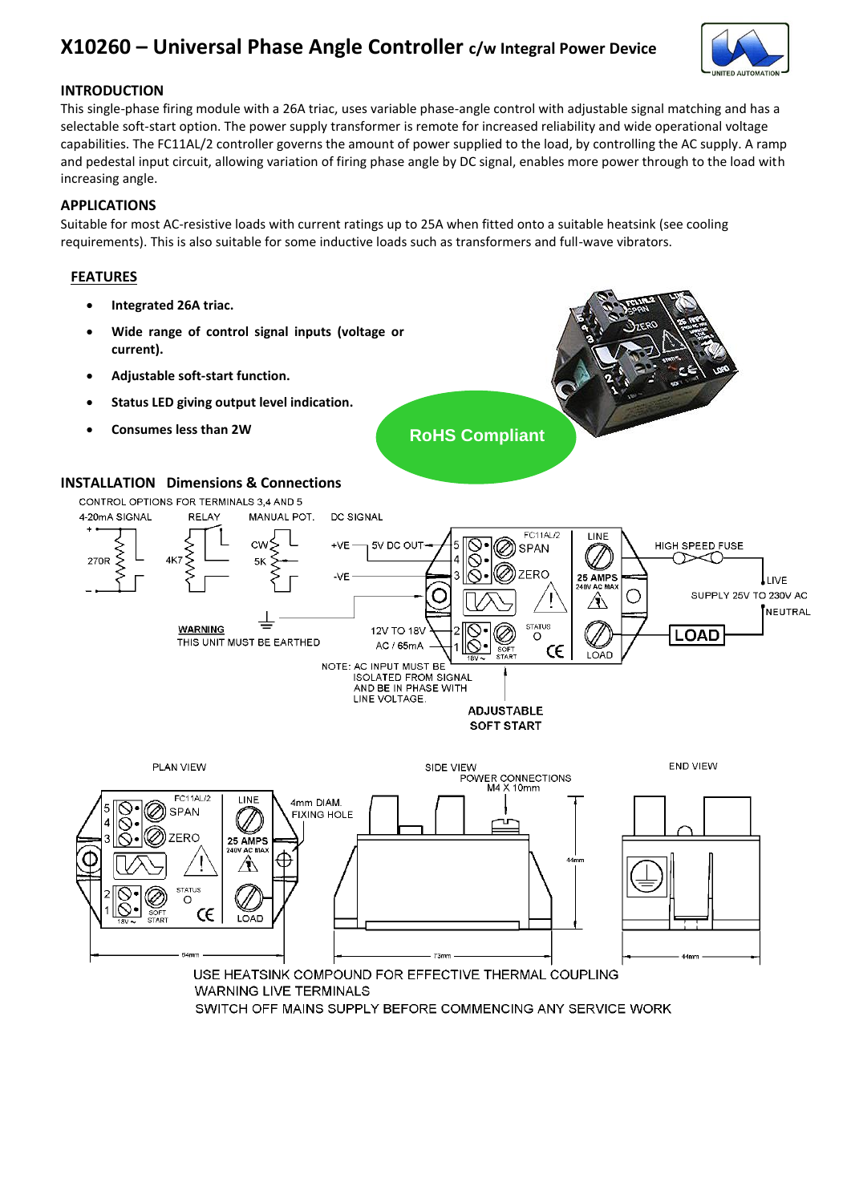# **X10260 – Universal Phase Angle Controller c/w Integral Power Device**



# **INTRODUCTION**

This single-phase firing module with a 26A triac, uses variable phase-angle control with adjustable signal matching and has a selectable soft-start option. The power supply transformer is remote for increased reliability and wide operational voltage capabilities. The FC11AL/2 controller governs the amount of power supplied to the load, by controlling the AC supply. A ramp and pedestal input circuit, allowing variation of firing phase angle by DC signal, enables more power through to the load with increasing angle.

### **APPLICATIONS**

Suitable for most AC-resistive loads with current ratings up to 25A when fitted onto a suitable heatsink (see cooling requirements). This is also suitable for some inductive loads such as transformers and full-wave vibrators.

# **FEATURES**

- **Integrated 26A triac.**
- **Wide range of control signal inputs (voltage or current).**
- **Adjustable soft-start function.**
- **Status LED giving output level indication.**
- **Consumes less than 2W**

**RoHS Compliant**

#### **INSTALLATION Dimensions & Connections**





**WARNING LIVE TERMINALS** 

SWITCH OFF MAINS SUPPLY BEFORE COMMENCING ANY SERVICE WORK